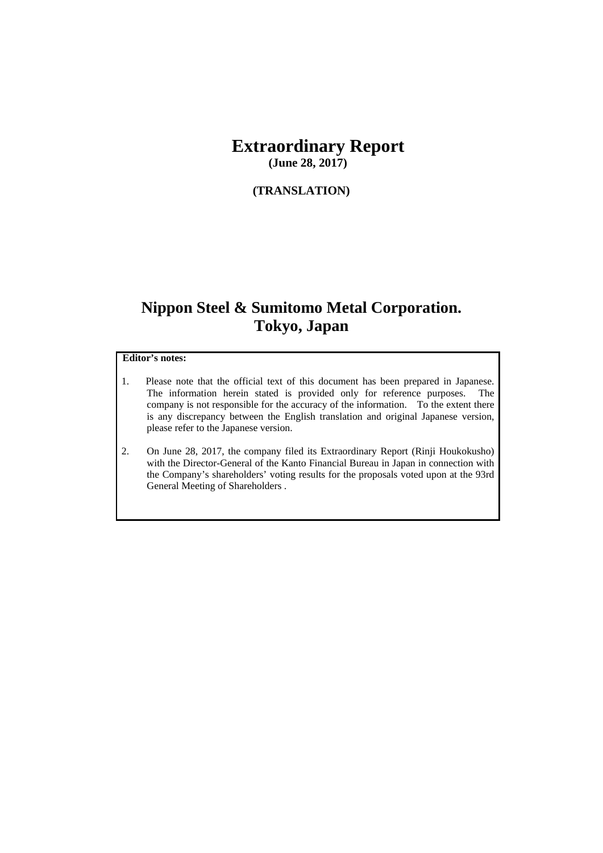# **Extraordinary Report**

**(June 28, 2017)** 

### **(TRANSLATION)**

## **Nippon Steel & Sumitomo Metal Corporation. Tokyo, Japan**

#### **Editor's notes:**

- 1. Please note that the official text of this document has been prepared in Japanese. The information herein stated is provided only for reference purposes. The company is not responsible for the accuracy of the information. To the extent there is any discrepancy between the English translation and original Japanese version, please refer to the Japanese version.
- 2. On June 28, 2017, the company filed its Extraordinary Report (Rinji Houkokusho) with the Director-General of the Kanto Financial Bureau in Japan in connection with the Company's shareholders' voting results for the proposals voted upon at the 93rd General Meeting of Shareholders .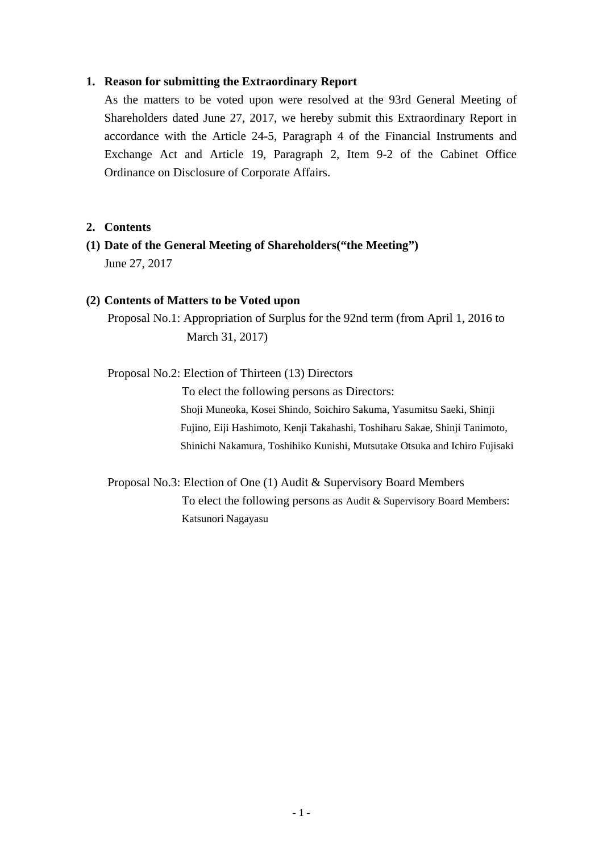#### **1. Reason for submitting the Extraordinary Report**

As the matters to be voted upon were resolved at the 93rd General Meeting of Shareholders dated June 27, 2017, we hereby submit this Extraordinary Report in accordance with the Article 24-5, Paragraph 4 of the Financial Instruments and Exchange Act and Article 19, Paragraph 2, Item 9-2 of the Cabinet Office Ordinance on Disclosure of Corporate Affairs.

#### **2. Contents**

**(1) Date of the General Meeting of Shareholders("the Meeting")**  June 27, 2017

#### **(2) Contents of Matters to be Voted upon**

Proposal No.1: Appropriation of Surplus for the 92nd term (from April 1, 2016 to March 31, 2017)

Proposal No.2: Election of Thirteen (13) Directors

To elect the following persons as Directors: Shoji Muneoka, Kosei Shindo, Soichiro Sakuma, Yasumitsu Saeki, Shinji Fujino, Eiji Hashimoto, Kenji Takahashi, Toshiharu Sakae, Shinji Tanimoto, Shinichi Nakamura, Toshihiko Kunishi, Mutsutake Otsuka and Ichiro Fujisaki

Proposal No.3: Election of One (1) Audit & Supervisory Board Members To elect the following persons as Audit & Supervisory Board Members: Katsunori Nagayasu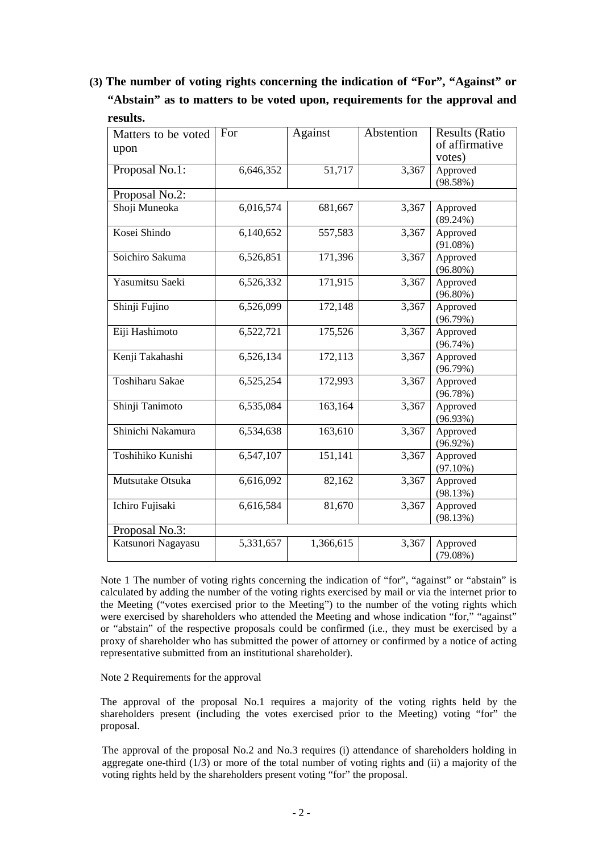**(3) The number of voting rights concerning the indication of "For", "Against" or "Abstain" as to matters to be voted upon, requirements for the approval and results.** 

| Matters to be voted<br>upon | For       | Against   | Abstention | <b>Results (Ratio</b><br>of affirmative<br>votes) |
|-----------------------------|-----------|-----------|------------|---------------------------------------------------|
| Proposal No.1:              | 6,646,352 | 51,717    | 3,367      | Approved<br>(98.58%)                              |
| Proposal No.2:              |           |           |            |                                                   |
| Shoji Muneoka               | 6,016,574 | 681,667   | 3,367      | Approved<br>$(89.24\%)$                           |
| Kosei Shindo                | 6,140,652 | 557,583   | 3,367      | Approved<br>$(91.08\%)$                           |
| Soichiro Sakuma             | 6,526,851 | 171,396   | 3,367      | Approved<br>$(96.80\%)$                           |
| Yasumitsu Saeki             | 6,526,332 | 171,915   | 3,367      | Approved<br>$(96.80\%)$                           |
| Shinji Fujino               | 6,526,099 | 172,148   | 3,367      | Approved<br>(96.79%)                              |
| Eiji Hashimoto              | 6,522,721 | 175,526   | 3,367      | Approved<br>$(96.74\%)$                           |
| Kenji Takahashi             | 6,526,134 | 172,113   | 3,367      | Approved<br>(96.79%)                              |
| Toshiharu Sakae             | 6,525,254 | 172,993   | 3,367      | Approved<br>(96.78%)                              |
| Shinji Tanimoto             | 6,535,084 | 163,164   | 3,367      | Approved<br>(96.93%)                              |
| Shinichi Nakamura           | 6,534,638 | 163,610   | 3,367      | Approved<br>$(96.92\%)$                           |
| Toshihiko Kunishi           | 6,547,107 | 151,141   | 3,367      | Approved<br>$(97.10\%)$                           |
| Mutsutake Otsuka            | 6,616,092 | 82,162    | 3,367      | Approved<br>(98.13%)                              |
| Ichiro Fujisaki             | 6,616,584 | 81,670    | 3,367      | Approved<br>(98.13%)                              |
| Proposal No.3:              |           |           |            |                                                   |
| Katsunori Nagayasu          | 5,331,657 | 1,366,615 | 3,367      | Approved<br>(79.08%)                              |

Note 1 The number of voting rights concerning the indication of "for", "against" or "abstain" is calculated by adding the number of the voting rights exercised by mail or via the internet prior to the Meeting ("votes exercised prior to the Meeting") to the number of the voting rights which were exercised by shareholders who attended the Meeting and whose indication "for." "against" or "abstain" of the respective proposals could be confirmed (i.e., they must be exercised by a proxy of shareholder who has submitted the power of attorney or confirmed by a notice of acting representative submitted from an institutional shareholder).

Note 2 Requirements for the approval

The approval of the proposal No.1 requires a majority of the voting rights held by the shareholders present (including the votes exercised prior to the Meeting) voting "for" the proposal.

The approval of the proposal No.2 and No.3 requires (i) attendance of shareholders holding in aggregate one-third  $(1/3)$  or more of the total number of voting rights and (ii) a majority of the voting rights held by the shareholders present voting "for" the proposal.